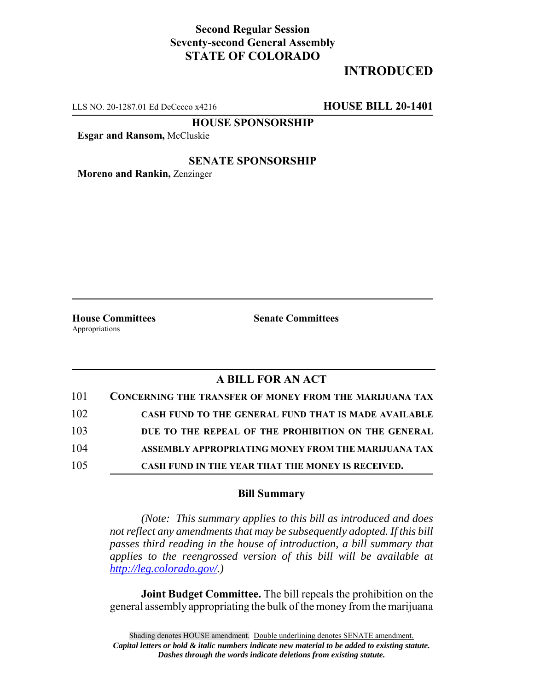## **Second Regular Session Seventy-second General Assembly STATE OF COLORADO**

# **INTRODUCED**

LLS NO. 20-1287.01 Ed DeCecco x4216 **HOUSE BILL 20-1401**

**HOUSE SPONSORSHIP**

**Esgar and Ransom,** McCluskie

#### **SENATE SPONSORSHIP**

**Moreno and Rankin,** Zenzinger

Appropriations

**House Committees Senate Committees**

### **A BILL FOR AN ACT**

| 101 | <b>CONCERNING THE TRANSFER OF MONEY FROM THE MARIJUANA TAX</b> |
|-----|----------------------------------------------------------------|
| 102 | CASH FUND TO THE GENERAL FUND THAT IS MADE AVAILABLE           |
| 103 | DUE TO THE REPEAL OF THE PROHIBITION ON THE GENERAL            |
| 104 | ASSEMBLY APPROPRIATING MONEY FROM THE MARIJUANA TAX            |
| 105 | CASH FUND IN THE YEAR THAT THE MONEY IS RECEIVED.              |

#### **Bill Summary**

*(Note: This summary applies to this bill as introduced and does not reflect any amendments that may be subsequently adopted. If this bill passes third reading in the house of introduction, a bill summary that applies to the reengrossed version of this bill will be available at http://leg.colorado.gov/.)*

**Joint Budget Committee.** The bill repeals the prohibition on the general assembly appropriating the bulk of the money from the marijuana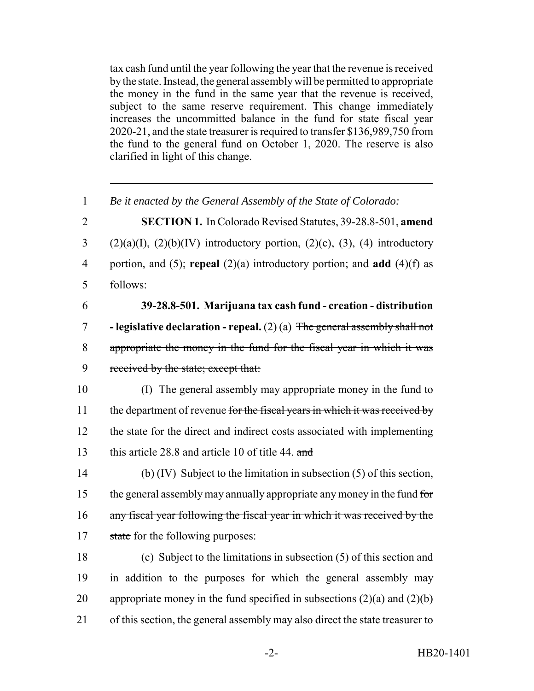tax cash fund until the year following the year that the revenue is received by the state. Instead, the general assembly will be permitted to appropriate the money in the fund in the same year that the revenue is received, subject to the same reserve requirement. This change immediately increases the uncommitted balance in the fund for state fiscal year 2020-21, and the state treasurer is required to transfer \$136,989,750 from the fund to the general fund on October 1, 2020. The reserve is also clarified in light of this change.

1 *Be it enacted by the General Assembly of the State of Colorado:*

 **SECTION 1.** In Colorado Revised Statutes, 39-28.8-501, **amend** (2)(a)(I), (2)(b)(IV) introductory portion, (2)(c), (3), (4) introductory portion, and (5); **repeal** (2)(a) introductory portion; and **add** (4)(f) as 5 follows:

# 6 **39-28.8-501. Marijuana tax cash fund - creation - distribution**

7 **- legislative declaration - repeal.** (2) (a) The general assembly shall not 8 appropriate the money in the fund for the fiscal year in which it was 9 received by the state; except that:

10 (I) The general assembly may appropriate money in the fund to 11 the department of revenue for the fiscal years in which it was received by 12 the state for the direct and indirect costs associated with implementing 13 this article 28.8 and article 10 of title 44. and

14 (b) (IV) Subject to the limitation in subsection (5) of this section, 15 the general assembly may annually appropriate any money in the fund for 16 any fiscal year following the fiscal year in which it was received by the 17 state for the following purposes:

 (c) Subject to the limitations in subsection (5) of this section and in addition to the purposes for which the general assembly may 20 appropriate money in the fund specified in subsections  $(2)(a)$  and  $(2)(b)$ of this section, the general assembly may also direct the state treasurer to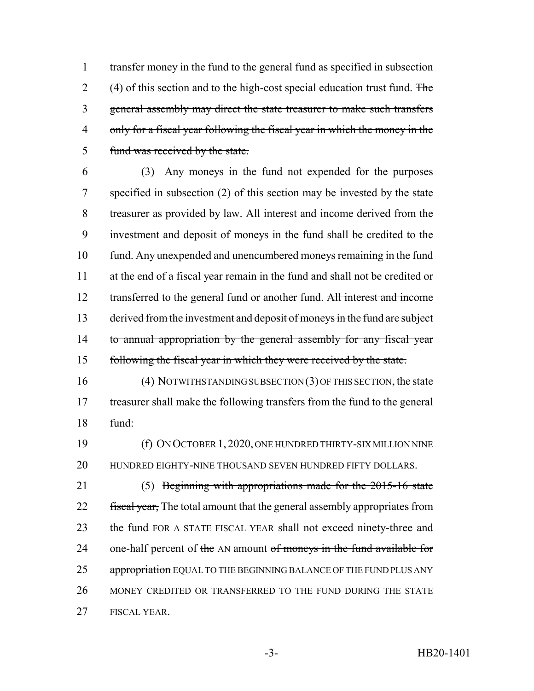transfer money in the fund to the general fund as specified in subsection 2 (4) of this section and to the high-cost special education trust fund. The general assembly may direct the state treasurer to make such transfers only for a fiscal year following the fiscal year in which the money in the fund was received by the state.

 (3) Any moneys in the fund not expended for the purposes specified in subsection (2) of this section may be invested by the state treasurer as provided by law. All interest and income derived from the investment and deposit of moneys in the fund shall be credited to the fund. Any unexpended and unencumbered moneys remaining in the fund at the end of a fiscal year remain in the fund and shall not be credited or 12 transferred to the general fund or another fund. All interest and income 13 derived from the investment and deposit of moneys in the fund are subject 14 to annual appropriation by the general assembly for any fiscal year following the fiscal year in which they were received by the state.

 (4) NOTWITHSTANDING SUBSECTION (3) OF THIS SECTION, the state treasurer shall make the following transfers from the fund to the general fund:

 (f) ON OCTOBER 1, 2020, ONE HUNDRED THIRTY-SIX MILLION NINE HUNDRED EIGHTY-NINE THOUSAND SEVEN HUNDRED FIFTY DOLLARS.

 (5) Beginning with appropriations made for the 2015-16 state 22 fiscal year, The total amount that the general assembly appropriates from the fund FOR A STATE FISCAL YEAR shall not exceed ninety-three and 24 one-half percent of the AN amount of moneys in the fund available for 25 appropriation EQUAL TO THE BEGINNING BALANCE OF THE FUND PLUS ANY 26 MONEY CREDITED OR TRANSFERRED TO THE FUND DURING THE STATE FISCAL YEAR.